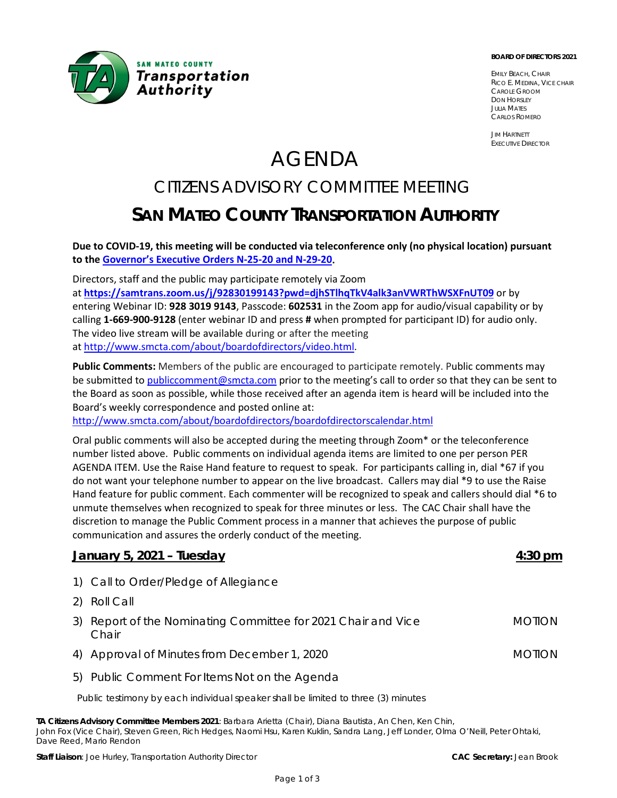

#### **BOARD OF DIRECTORS 2021**

EMILY BEACH, CHAIR RICO E. MEDINA, VICE CHAIR CAROLE GROOM DON HORSLEY JULIA MATES CARLOS ROMERO

JIM HARTNETT EXECUTIVE DIRECTOR

# AGENDA

# CITIZENS ADVISORY COMMITTEE MEETING **SAN MATEO COUNTY TRANSPORTATION AUTHORITY**

**Due to COVID-19, this meeting will be conducted via teleconference only (no physical location) pursuant to the [Governor's Executive Orders N-25-20](https://www.gov.ca.gov/category/executive-orders/) and [N-29-20.](https://www.gov.ca.gov/wp-content/uploads/2020/03/3.17.20-N-29-20-EO.pdf)**

Directors, staff and the public may participate remotely via Zoom at **<https://samtrans.zoom.us/j/92830199143?pwd=djhSTlhqTkV4alk3anVWRThWSXFnUT09>** or by entering Webinar ID: **928 3019 9143**, Passcode: **602531** in the Zoom app for audio/visual capability or by calling **1-669-900-9128** (enter webinar ID and press **#** when prompted for participant ID) for audio only. The video live stream will be available during or after the meeting

at [http://www.smcta.com/about/boardofdirectors/video.html.](http://www.smcta.com/about/boardofdirectors/video.html)

**Public Comments:** Members of the public are encouraged to participate remotely. Public comments may be submitted to [publiccomment@smcta.com](mailto:publiccomment@smcta.com) prior to the meeting's call to order so that they can be sent to the Board as soon as possible, while those received after an agenda item is heard will be included into the Board's weekly correspondence and posted online at:

<http://www.smcta.com/about/boardofdirectors/boardofdirectorscalendar.html>

Oral public comments will also be accepted during the meeting through Zoom\* or the teleconference number listed above. Public comments on individual agenda items are limited to one per person PER AGENDA ITEM. Use the Raise Hand feature to request to speak. For participants calling in, dial \*67 if you do not want your telephone number to appear on the live broadcast. Callers may dial \*9 to use the Raise Hand feature for public comment. Each commenter will be recognized to speak and callers should dial \*6 to unmute themselves when recognized to speak for three minutes or less. The CAC Chair shall have the discretion to manage the Public Comment process in a manner that achieves the purpose of public communication and assures the orderly conduct of the meeting.

#### **January 5, 2021 – Tuesday 4:30 pm**

- 1) Call to Order/Pledge of Allegiance
- 2) Roll Call
- 3) Report of the Nominating Committee for 2021 Chair and Vice Chair MOTION
- 4) Approval of Minutes from December 1, 2020 MOTION
- 5) Public Comment For Items Not on the Agenda

Public testimony by each individual speaker shall be limited to three (3) minutes

**TA Citizens Advisory Committee Members 2021**: Barbara Arietta (Chair), Diana Bautista, An Chen, Ken Chin, John Fox (Vice Chair), Steven Green, Rich Hedges, Naomi Hsu, Karen Kuklin, Sandra Lang, Jeff Londer, Olma O'Neill, Peter Ohtaki, Dave Reed, Mario Rendon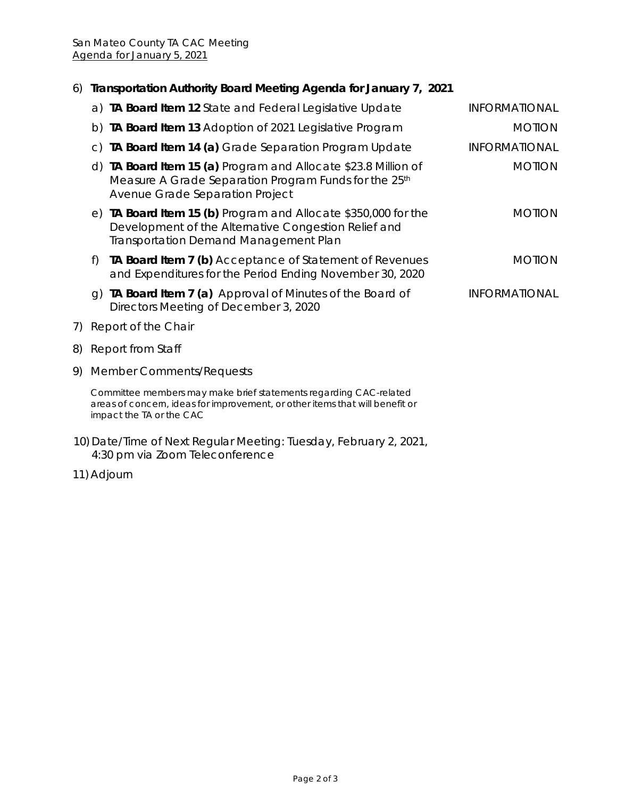# 6) **Transportation Authority Board Meeting Agenda for January 7, 2021**

|    |                                                                                                                                                                               | a) TA Board Item 12 State and Federal Legislative Update                                                                                                               | <b>INFORMATIONAL</b> |
|----|-------------------------------------------------------------------------------------------------------------------------------------------------------------------------------|------------------------------------------------------------------------------------------------------------------------------------------------------------------------|----------------------|
|    |                                                                                                                                                                               | b) TA Board Item 13 Adoption of 2021 Legislative Program                                                                                                               | <b>MOTION</b>        |
|    | $\mathsf{C}$ )                                                                                                                                                                | TA Board Item 14 (a) Grade Separation Program Update                                                                                                                   | <b>INFORMATIONAL</b> |
|    |                                                                                                                                                                               | d) TA Board Item 15 (a) Program and Allocate \$23.8 Million of<br>Measure A Grade Separation Program Funds for the 25th<br>Avenue Grade Separation Project             | <b>MOTION</b>        |
|    |                                                                                                                                                                               | e) TA Board Item 15 (b) Program and Allocate \$350,000 for the<br>Development of the Alternative Congestion Relief and<br><b>Transportation Demand Management Plan</b> | <b>MOTION</b>        |
|    | f)                                                                                                                                                                            | TA Board Item 7 (b) Acceptance of Statement of Revenues<br>and Expenditures for the Period Ending November 30, 2020                                                    | <b>MOTION</b>        |
|    | q)                                                                                                                                                                            | TA Board Item 7 (a) Approval of Minutes of the Board of<br>Directors Meeting of December 3, 2020                                                                       | <b>INFORMATIONAL</b> |
| 7) | Report of the Chair                                                                                                                                                           |                                                                                                                                                                        |                      |
| 8) | Report from Staff                                                                                                                                                             |                                                                                                                                                                        |                      |
| 9) | <b>Member Comments/Requests</b>                                                                                                                                               |                                                                                                                                                                        |                      |
|    | Committee members may make brief statements regarding CAC-related<br>areas of concern, ideas for improvement, or other items that will benefit or<br>impact the TA or the CAC |                                                                                                                                                                        |                      |
|    |                                                                                                                                                                               | 10) Date/Time of Next Regular Meeting: Tuesday, February 2, 2021,                                                                                                      |                      |

4:30 pm via Zoom Teleconference

11) Adjourn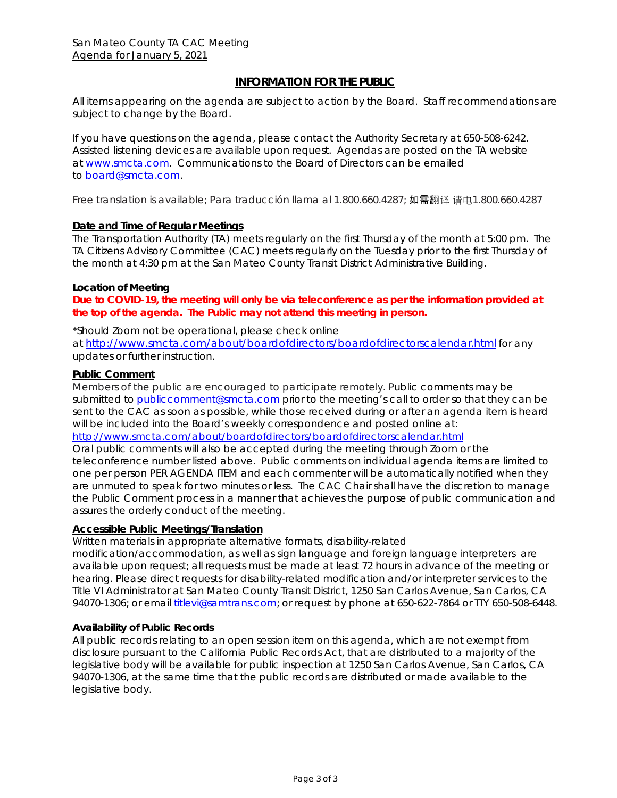#### **INFORMATION FOR THE PUBLIC**

All items appearing on the agenda are subject to action by the Board. Staff recommendations are subject to change by the Board.

If you have questions on the agenda, please contact the Authority Secretary at 650-508-6242. Assisted listening devices are available upon request. Agendas are posted on the TA website at [www.smcta.com.](file://SamTrans.com/Departments/Executive/T%20A/Agendas/2019/September/www.smcta.com) Communications to the Board of Directors can be emailed t[o board@smcta.com.](mailto:board@smcta.com)

*Free translation is available; Para traducción llama al 1.800.660.4287;* 如需翻译 请电*1.800.660.4287*

#### **Date and Time of Regular Meetings**

The Transportation Authority (TA) meets regularly on the first Thursday of the month at 5:00 pm. The TA Citizens Advisory Committee (CAC) meets regularly on the Tuesday prior to the first Thursday of the month at 4:30 pm at the San Mateo County Transit District Administrative Building.

#### **Location of Meeting**

**Due to COVID-19, the meeting will only be via teleconference as per the information provided at the top of the agenda. The Public may not attend this meeting in person.** 

\*Should Zoom not be operational, please check online

at<http://www.smcta.com/about/boardofdirectors/boardofdirectorscalendar.html> for any updates or further instruction.

#### **Public Comment**

Members of the public are encouraged to participate remotely. Public comments may be submitted to [publiccomment@smcta.com](mailto:publiccomment@smcta.com) prior to the meeting's call to order so that they can be sent to the CAC as soon as possible, while those received during or after an agenda item is heard will be included into the Board's weekly correspondence and posted online at: <http://www.smcta.com/about/boardofdirectors/boardofdirectorscalendar.html>

Oral public comments will also be accepted during the meeting through Zoom or the teleconference number listed above. Public comments on individual agenda items are limited to one per person PER AGENDA ITEM and each commenter will be automatically notified when they are unmuted to speak for two minutes or less. The CAC Chair shall have the discretion to manage the Public Comment process in a manner that achieves the purpose of public communication and assures the orderly conduct of the meeting.

#### **Accessible Public Meetings/Translation**

Written materials in appropriate alternative formats, disability-related

modification/accommodation, as well as sign language and foreign language interpreters are available upon request; all requests must be made at least 72 hours in advance of the meeting or hearing. Please direct requests for disability-related modification and/or interpreter services to the Title VI Administrator at San Mateo County Transit District, 1250 San Carlos Avenue, San Carlos, CA 94070-1306; or email *titlevi@samtrans.com;* or request by phone at 650-622-7864 or TTY 650-508-6448.

#### **Availability of Public Records**

All public records relating to an open session item on this agenda, which are not exempt from disclosure pursuant to the California Public Records Act, that are distributed to a majority of the legislative body will be available for public inspection at 1250 San Carlos Avenue, San Carlos, CA 94070-1306, at the same time that the public records are distributed or made available to the legislative body.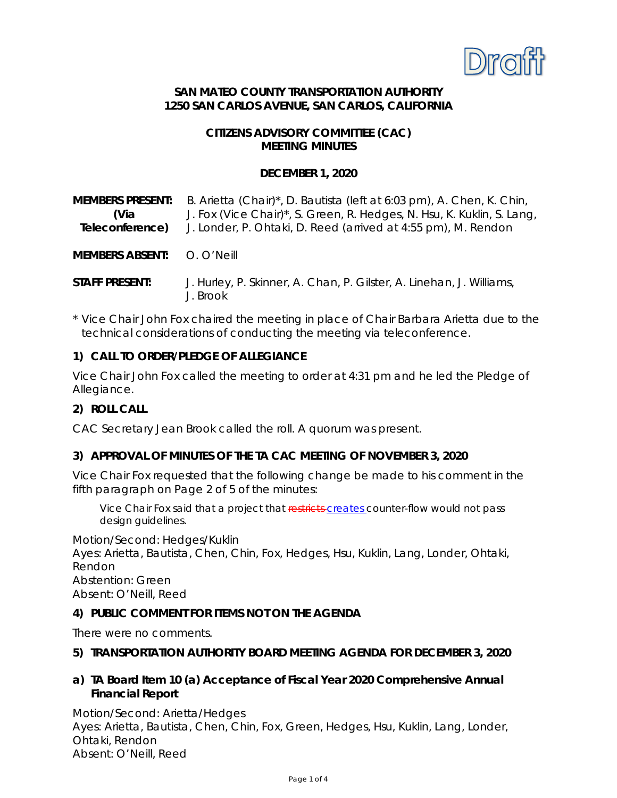

#### **SAN MATEO COUNTY TRANSPORTATION AUTHORITY 1250 SAN CARLOS AVENUE, SAN CARLOS, CALIFORNIA**

#### **CITIZENS ADVISORY COMMITTEE (CAC) MEETING MINUTES**

#### **DECEMBER 1, 2020**

| <b>MEMBERS PRESENT:</b><br>(Via<br>Teleconference) | B. Arietta (Chair)*, D. Bautista (left at 6:03 pm), A. Chen, K. Chin,<br>J. Fox (Vice Chair)*, S. Green, R. Hedges, N. Hsu, K. Kuklin, S. Lang,<br>J. Londer, P. Ohtaki, D. Reed (arrived at 4:55 pm), M. Rendon |
|----------------------------------------------------|------------------------------------------------------------------------------------------------------------------------------------------------------------------------------------------------------------------|
| MEMBERS ABSENT: O. O'Neill                         |                                                                                                                                                                                                                  |
| <b>STAFF PRESENT:</b>                              | J. Hurley, P. Skinner, A. Chan, P. Gilster, A. Linehan, J. Williams,<br>J. Brook                                                                                                                                 |

\* Vice Chair John Fox chaired the meeting in place of Chair Barbara Arietta due to the technical considerations of conducting the meeting via teleconference.

#### **1) CALL TO ORDER/PLEDGE OF ALLEGIANCE**

Vice Chair John Fox called the meeting to order at 4:31 pm and he led the Pledge of Allegiance.

#### **2) ROLL CALL**

CAC Secretary Jean Brook called the roll. A quorum was present.

#### **3) APPROVAL OF MINUTES OF THE TA CAC MEETING OF NOVEMBER 3, 2020**

Vice Chair Fox requested that the following change be made to his comment in the fifth paragraph on Page 2 of 5 of the minutes:

Vice Chair Fox said that a project that restricts-creates counter-flow would not pass design guidelines.

Motion/Second: Hedges/Kuklin Ayes: Arietta, Bautista, Chen, Chin, Fox, Hedges, Hsu, Kuklin, Lang, Londer, Ohtaki, Rendon Abstention: Green Absent: O'Neill, Reed

#### **4) PUBLIC COMMENT FOR ITEMS NOT ON THE AGENDA**

There were no comments.

#### **5) TRANSPORTATION AUTHORITY BOARD MEETING AGENDA FOR DECEMBER 3, 2020**

# **a) TA Board Item 10 (a) Acceptance of Fiscal Year 2020 Comprehensive Annual Financial Report**

Motion/Second: Arietta/Hedges Ayes: Arietta, Bautista, Chen, Chin, Fox, Green, Hedges, Hsu, Kuklin, Lang, Londer, Ohtaki, Rendon Absent: O'Neill, Reed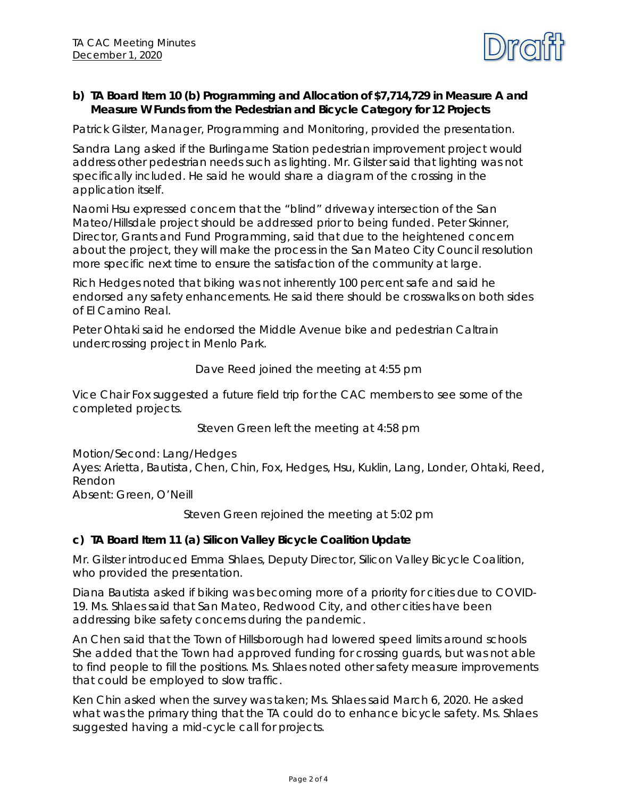

#### **b) TA Board Item 10 (b) Programming and Allocation of \$7,714,729 in Measure A and Measure W Funds from the Pedestrian and Bicycle Category for 12 Projects**

Patrick Gilster, Manager, Programming and Monitoring, provided the presentation.

Sandra Lang asked if the Burlingame Station pedestrian improvement project would address other pedestrian needs such as lighting. Mr. Gilster said that lighting was not specifically included. He said he would share a diagram of the crossing in the application itself.

Naomi Hsu expressed concern that the "blind" driveway intersection of the San Mateo/Hillsdale project should be addressed prior to being funded. Peter Skinner, Director, Grants and Fund Programming, said that due to the heightened concern about the project, they will make the process in the San Mateo City Council resolution more specific next time to ensure the satisfaction of the community at large.

Rich Hedges noted that biking was not inherently 100 percent safe and said he endorsed any safety enhancements. He said there should be crosswalks on both sides of El Camino Real.

Peter Ohtaki said he endorsed the Middle Avenue bike and pedestrian Caltrain undercrossing project in Menlo Park.

#### *Dave Reed joined the meeting at 4:55 pm*

Vice Chair Fox suggested a future field trip for the CAC members to see some of the completed projects.

*Steven Green left the meeting at 4:58 pm*

Motion/Second: Lang/Hedges Ayes: Arietta, Bautista, Chen, Chin, Fox, Hedges, Hsu, Kuklin, Lang, Londer, Ohtaki, Reed, Rendon Absent: Green, O'Neill

*Steven Green rejoined the meeting at 5:02 pm*

#### **c) TA Board Item 11 (a) Silicon Valley Bicycle Coalition Update**

Mr. Gilster introduced Emma Shlaes, Deputy Director, Silicon Valley Bicycle Coalition, who provided the presentation.

Diana Bautista asked if biking was becoming more of a priority for cities due to COVID-19. Ms. Shlaes said that San Mateo, Redwood City, and other cities have been addressing bike safety concerns during the pandemic.

An Chen said that the Town of Hillsborough had lowered speed limits around schools She added that the Town had approved funding for crossing guards, but was not able to find people to fill the positions. Ms. Shlaes noted other safety measure improvements that could be employed to slow traffic.

Ken Chin asked when the survey was taken; Ms. Shlaes said March 6, 2020. He asked what was the primary thing that the TA could do to enhance bicycle safety. Ms. Shlaes suggested having a mid-cycle call for projects.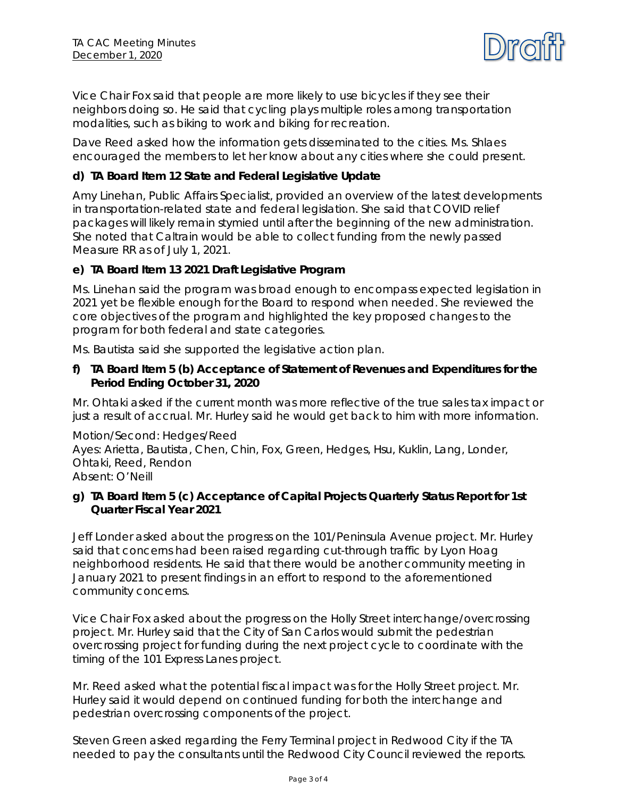

Vice Chair Fox said that people are more likely to use bicycles if they see their neighbors doing so. He said that cycling plays multiple roles among transportation modalities, such as biking to work and biking for recreation.

Dave Reed asked how the information gets disseminated to the cities. Ms. Shlaes encouraged the members to let her know about any cities where she could present.

# **d) TA Board Item 12 State and Federal Legislative Update**

Amy Linehan, Public Affairs Specialist, provided an overview of the latest developments in transportation-related state and federal legislation. She said that COVID relief packages will likely remain stymied until after the beginning of the new administration. She noted that Caltrain would be able to collect funding from the newly passed Measure RR as of July 1, 2021.

# **e) TA Board Item 13 2021 Draft Legislative Program**

Ms. Linehan said the program was broad enough to encompass expected legislation in 2021 yet be flexible enough for the Board to respond when needed. She reviewed the core objectives of the program and highlighted the key proposed changes to the program for both federal and state categories.

Ms. Bautista said she supported the legislative action plan.

#### **f) TA Board Item 5 (b) Acceptance of Statement of Revenues and Expenditures for the Period Ending October 31, 2020**

Mr. Ohtaki asked if the current month was more reflective of the true sales tax impact or just a result of accrual. Mr. Hurley said he would get back to him with more information.

Motion/Second: Hedges/Reed Ayes: Arietta, Bautista, Chen, Chin, Fox, Green, Hedges, Hsu, Kuklin, Lang, Londer, Ohtaki, Reed, Rendon Absent: O'Neill

# **g) TA Board Item 5 (c) Acceptance of Capital Projects Quarterly Status Report for 1st Quarter Fiscal Year 2021**

Jeff Londer asked about the progress on the 101/Peninsula Avenue project. Mr. Hurley said that concerns had been raised regarding cut-through traffic by Lyon Hoag neighborhood residents. He said that there would be another community meeting in January 2021 to present findings in an effort to respond to the aforementioned community concerns.

Vice Chair Fox asked about the progress on the Holly Street interchange/overcrossing project. Mr. Hurley said that the City of San Carlos would submit the pedestrian overcrossing project for funding during the next project cycle to coordinate with the timing of the 101 Express Lanes project.

Mr. Reed asked what the potential fiscal impact was for the Holly Street project. Mr. Hurley said it would depend on continued funding for both the interchange and pedestrian overcrossing components of the project.

Steven Green asked regarding the Ferry Terminal project in Redwood City if the TA needed to pay the consultants until the Redwood City Council reviewed the reports.